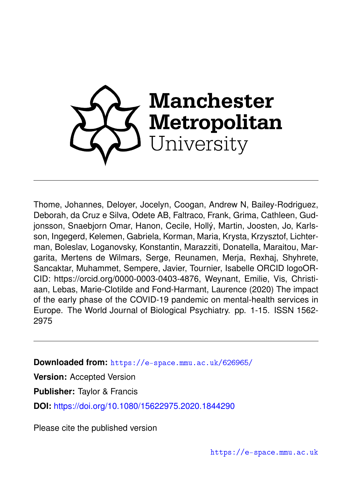

Thome, Johannes, Deloyer, Jocelyn, Coogan, Andrew N, Bailey-Rodriguez, Deborah, da Cruz e Silva, Odete AB, Faltraco, Frank, Grima, Cathleen, Gudjonsson, Snaebjorn Omar, Hanon, Cecile, Hollý, Martin, Joosten, Jo, Karlsson, Ingegerd, Kelemen, Gabriela, Korman, Maria, Krysta, Krzysztof, Lichterman, Boleslav, Loganovsky, Konstantin, Marazziti, Donatella, Maraitou, Margarita, Mertens de Wilmars, Serge, Reunamen, Merja, Rexhaj, Shyhrete, Sancaktar, Muhammet, Sempere, Javier, Tournier, Isabelle ORCID logoOR-CID: https://orcid.org/0000-0003-0403-4876, Weynant, Emilie, Vis, Christiaan, Lebas, Marie-Clotilde and Fond-Harmant, Laurence (2020) The impact of the early phase of the COVID-19 pandemic on mental-health services in Europe. The World Journal of Biological Psychiatry. pp. 1-15. ISSN 1562- 2975

**Downloaded from:** <https://e-space.mmu.ac.uk/626965/>

**Version:** Accepted Version

**Publisher:** Taylor & Francis

**DOI:** <https://doi.org/10.1080/15622975.2020.1844290>

Please cite the published version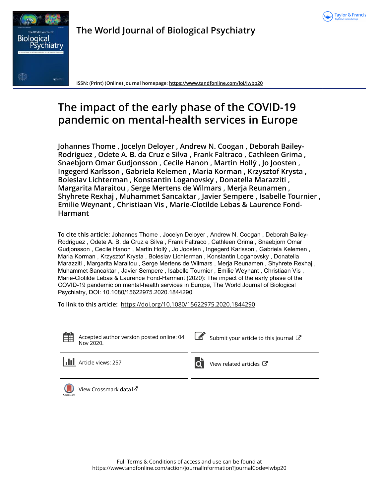



**The World Journal of Biological Psychiatry**

**ISSN: (Print) (Online) Journal homepage:<https://www.tandfonline.com/loi/iwbp20>**

# **The impact of the early phase of the COVID-19 pandemic on mental-health services in Europe**

**Johannes Thome , Jocelyn Deloyer , Andrew N. Coogan , Deborah Bailey-Rodriguez , Odete A. B. da Cruz e Silva , Frank Faltraco , Cathleen Grima , Snaebjorn Omar Gudjonsson , Cecile Hanon , Martin Hollý , Jo Joosten , Ingegerd Karlsson , Gabriela Kelemen , Maria Korman , Krzysztof Krysta , Boleslav Lichterman , Konstantin Loganovsky , Donatella Marazziti , Margarita Maraitou , Serge Mertens de Wilmars , Merja Reunamen , Shyhrete Rexhaj , Muhammet Sancaktar , Javier Sempere , Isabelle Tournier , Emilie Weynant , Christiaan Vis , Marie-Clotilde Lebas & Laurence Fond-Harmant**

**To cite this article:** Johannes Thome , Jocelyn Deloyer , Andrew N. Coogan , Deborah Bailey-Rodriguez , Odete A. B. da Cruz e Silva , Frank Faltraco , Cathleen Grima , Snaebjorn Omar Gudjonsson , Cecile Hanon , Martin Hollý , Jo Joosten , Ingegerd Karlsson , Gabriela Kelemen , Maria Korman , Krzysztof Krysta , Boleslav Lichterman , Konstantin Loganovsky , Donatella Marazziti , Margarita Maraitou , Serge Mertens de Wilmars , Merja Reunamen , Shyhrete Rexhaj , Muhammet Sancaktar , Javier Sempere , Isabelle Tournier , Emilie Weynant , Christiaan Vis , Marie-Clotilde Lebas & Laurence Fond-Harmant (2020): The impact of the early phase of the COVID-19 pandemic on mental-health services in Europe, The World Journal of Biological Psychiatry, DOI: [10.1080/15622975.2020.1844290](https://www.tandfonline.com/action/showCitFormats?doi=10.1080/15622975.2020.1844290)

**To link to this article:** <https://doi.org/10.1080/15622975.2020.1844290>



Accepted author version posted online: 04 Nov 2020.

 $\overline{\mathscr{L}}$  [Submit your article to this journal](https://www.tandfonline.com/action/authorSubmission?journalCode=iwbp20&show=instructions)  $\mathbb{Z}$ 



**Article views: 257** [View related articles](https://www.tandfonline.com/doi/mlt/10.1080/15622975.2020.1844290)  $\sigma$ 



[View Crossmark data](http://crossmark.crossref.org/dialog/?doi=10.1080/15622975.2020.1844290&domain=pdf&date_stamp=2020-11-04)<sup>√</sup>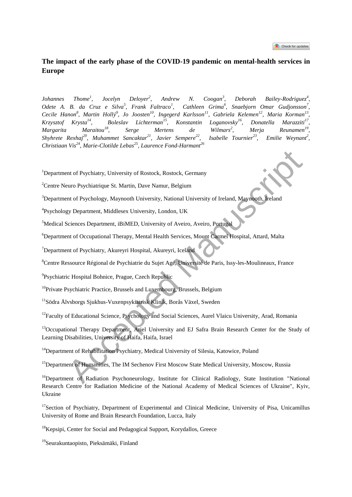## **The impact of the early phase of the COVID-19 pandemic on mental-health services in Europe**

*Johannes Thome<sup>1</sup> , Jocelyn Deloyer<sup>2</sup> , Andrew N. Coogan<sup>3</sup> , Deborah Bailey-Rodriguez<sup>4</sup> , Odete A. B. da Cruz e Silva<sup>5</sup> , Frank Faltraco<sup>1</sup> , Cathleen Grima<sup>6</sup> , Snaebjorn Omar Gudjonsson<sup>7</sup> , Cecile Hanon<sup>8</sup> , Martin Hollý<sup>9</sup> , Jo Joosten<sup>10</sup>, Ingegerd Karlsson<sup>11</sup>, Gabriela Kelemen<sup>12</sup>, Maria Korman<sup>13</sup> ,*   $Krzysztof$   $Krysta<sup>14</sup>$ , Boleslav Lichterman<sup>15</sup>, Konstantin Loganovsky<sup>16</sup>, Donatella Marazziti<sup>17</sup>. *Margarita Maraitou<sup>18</sup>, Serge Mertens de Wilmars<sup>2</sup> , Merja Reunamen<sup>19</sup> , Shyhrete Rexhaj<sup>20</sup> , Muhammet Sancaktar<sup>21</sup> , Javier Sempere<sup>22</sup> , Isabelle Tournier<sup>23</sup>, Emilie Weynant<sup>2</sup> , Christiaan Vis<sup>24</sup>, Marie-Clotilde Lebas<sup>25</sup>, Laurence Fond-Harmant<sup>26</sup>*

<sup>1</sup>Department of Psychiatry, University of Rostock, Rostock, Germany

<sup>2</sup>Centre Neuro Psychiatrique St. Martin, Dave Namur, Belgium

<sup>3</sup>Department of Psychology, Maynooth University, National University of Ireland, Maynooth, Ireland

4 Psychology Department, Middlesex University, London, UK

<sup>5</sup>Medical Sciences Department, iBiMED, University of Aveiro, Aveiro, Portugal

<sup>6</sup>Department of Occupational Therapy, Mental Health Services, Mount Carmel Hospital, Attard, Malta

<sup>7</sup>Department of Psychiatry, Akureyri Hospital, Akureyri, Iceland

<sup>8</sup>Centre Ressource Régional de Psychiatrie du Sujet Agé, Université de Paris, Issy-les-Moulineaux, France

<sup>9</sup> Psychiatric Hospital Bohnice, Prague, Czech Republic

<sup>10</sup>Private Psychiatric Practice, Brussels and Luxembourg, Brussels, Belgium

<sup>11</sup>Södra Älvsborgs Sjukhus-Vuxenpsykiatrisk Klinik, Borås Växel, Sweden

<sup>12</sup>Faculty of Educational Science, Psychology and Social Sciences, Aurel Vlaicu University, Arad, Romania

<sup>13</sup>Occupational Therapy Department, Ariel University and EJ Safra Brain Research Center for the Study of Learning Disabilities, University of Haifa, Haifa, Israel The CP Psychiatry, University of Rostock, Rostock, Germany<br>
Heart of Psychiatrique St. Martin, Dave Namur, Belgium<br>
Heart of Psychology, Maynooth University, London, UK<br>
Sciences Department, Middlesex University, London, U

<sup>14</sup>Department of Rehabilitation Psychiatry, Medical University of Silesia, Katowice, Poland

<sup>15</sup>Department of Humanities, The IM Sechenov First Moscow State Medical University, Moscow, Russia

<sup>16</sup>Department of Radiation Psychoneurology, Institute for Clinical Radiology, State Institution "National Research Centre for Radiation Medicine of the National Academy of Medical Sciences of Ukraine", Kyiv, Ukraine

<sup>17</sup>Section of Psychiatry, Department of Experimental and Clinical Medicine, University of Pisa, Unicamillus University of Rome and Brain Research Foundation, Lucca, Italy

<sup>&</sup>lt;sup>18</sup>Kepsipi, Center for Social and Pedagogical Support, Korydallos, Greece

<sup>19</sup>Seurakuntaopisto, Pieksämäki, Finland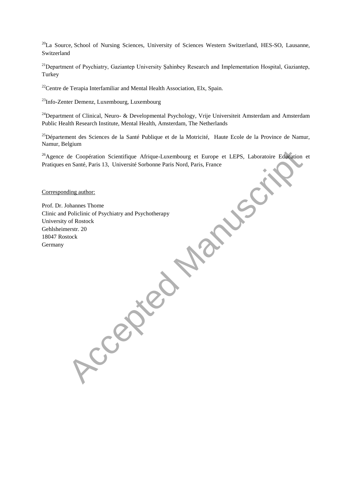<sup>20</sup>La Source, School of Nursing Sciences, University of Sciences Western Switzerland, HES-SO, Lausanne, Switzerland

<sup>21</sup>Department of Psychiatry, Gaziantep University Şahinbey Research and Implementation Hospital, Gaziantep, Turkey

 $22$ Centre de Terapia Interfamiliar and Mental Health Association, Elx, Spain.

<sup>23</sup>Info-Zenter Demenz, Luxembourg, Luxembourg

<sup>24</sup>Department of Clinical, Neuro- & Developmental Psychology, Vrije Universiteit Amsterdam and Amsterdam Public Health Research Institute, Mental Health, Amsterdam, The Netherlands

<sup>25</sup>Département des Sciences de la Santé Publique et de la Motricité, Haute Ecole de la Province de Namur, Namur, Belgium

<sup>26</sup>Agence de Coopération Scientifique Afrique-Luxembourg et Europe et LEPS, Laboratoire Education et Pratiques en Santé, Paris 13, Université Sorbonne Paris Nord, Paris, France

Corresponding author:

Prof. Dr. Johannes Thome Clinic and Policlinic of Psychiatry and Psychotherapy University of Rostock Gehlsheimerstr. 20 18047 Rostock Accepted Manuscript Content Manuscript Content Manuscript Content Response Content Response Content Response Content Response Content Response Content Response Content Response Content Response Content Response Content Res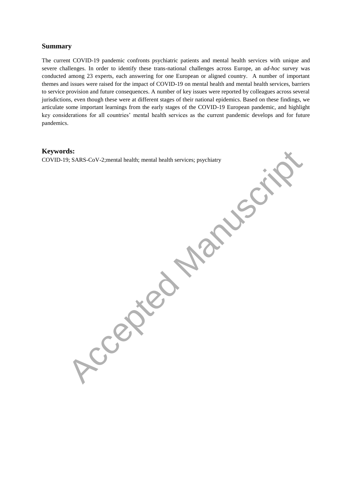#### **Summary**

The current COVID-19 pandemic confronts psychiatric patients and mental health services with unique and severe challenges. In order to identify these trans-national challenges across Europe, an *ad-hoc* survey was conducted among 23 experts, each answering for one European or aligned country. A number of important themes and issues were raised for the impact of COVID-19 on mental health and mental health services, barriers to service provision and future consequences. A number of key issues were reported by colleagues across several jurisdictions, even though these were at different stages of their national epidemics. Based on these findings, we articulate some important learnings from the early stages of the COVID-19 European pandemic, and highlight key considerations for all countries' mental health services as the current pandemic develops and for future pandemics.

#### **Keywords:**

COVID-19; SARS-CoV-2;mental health; mental health services; psychiatry Accepted Manuscriptions; psychiatry Accepted Manuscriptions; psychiatry Accepted Manuscriptions; psychiatry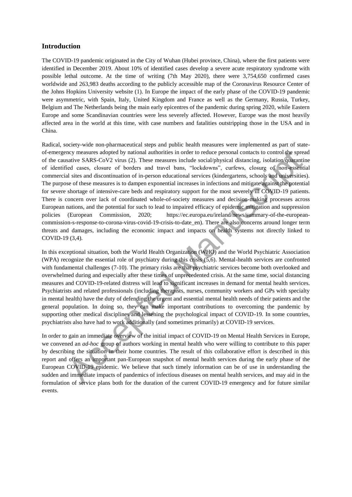#### **Introduction**

The COVID-19 pandemic originated in the City of Wuhan (Hubei province, China), where the first patients were identified in December 2019. About 10% of identified cases develop a severe acute respiratory syndrome with possible lethal outcome. At the time of writing (7th May 2020), there were 3,754,650 confirmed cases worldwide and 263,983 deaths according to the publicly accessible map of the Coronavirus Resource Center of the Johns Hopkins University website (1). In Europe the impact of the early phase of the COVID-19 pandemic were asymmetric, with Spain, Italy, United Kingdom and France as well as the Germany, Russia, Turkey, Belgium and The Netherlands being the main early epicentres of the pandemic during spring 2020, while Eastern Europe and some Scandinavian countries were less severely affected. However, Europe was the most heavily affected area in the world at this time, with case numbers and fatalities outstripping those in the USA and in China.

Radical, society-wide non-pharmaceutical steps and public health measures were implemented as part of stateof-emergency measures adopted by national authorities in order to reduce personal contacts to control the spread of the causative SARS-CoV2 virus (2). These measures include social/physical distancing, isolation/quarantine of identified cases, closure of borders and travel bans, "lockdowns", curfews, closure of non-essential commercial sites and discontinuation of in-person educational services (kindergartens, schools and universities). The purpose of these measures is to dampen exponential increases in infections and mitigate against the potential for severe shortage of intensive-care beds and respiratory support for the most severely ill COVID-19 patients. There is concern over lack of coordinated whole-of-society measures and decision-making processes across European nations, and the potential for such to lead to impaired efficacy of epidemic mitigation and suppression policies (European Commission, 2020; https://ec.europa.eu/ireland/news/summary-of-the-europeancommission-s-response-to-corona-virus-covid-19-crisis-to-date\_en). There are also concerns around longer term threats and damages, including the economic impact and impacts on health systems not directly linked to COVID-19 (3,4). ncy measures adopted by national authorities in order to reduce personal contacts to control the spreadure SARS-CoV2 virus (2). These measures include access, closure of borders and travel bans, "lockdowns", curiews, clos

In this exceptional situation, both the World Health Organization (WHO) and the World Psychiatric Association (WPA) recognize the essential role of psychiatry during this crisis (5,6). Mental-health services are confronted with fundamental challenges (7-10). The primary risks are that psychiatric services become both overlooked and overwhelmed during and especially after these times of unprecedented crisis. At the same time, social distancing measures and COVID-19-related distress will lead to significant increases in demand for mental health services. Psychiatrists and related professionals (including therapists, nurses, community workers and GPs with specialty in mental health) have the duty of defending the urgent and essential mental health needs of their patients and the general population. In doing so, they can make important contributions to overcoming the pandemic by supporting other medical disciplines and lessening the psychological impact of COVID-19. In some countries, psychiatrists also have had to work additionally (and sometimes primarily) at COVID-19 services.

In order to gain an immediate overview of the initial impact of COVID-19 on Mental Health Services in Europe, we convened an *ad-hoc* group of authors working in mental health who were willing to contribute to this paper by describing the situation in their home countries. The result of this collaborative effort is described in this report and offers an important pan-European snapshot of mental health services during the early phase of the European COVID-19 epidemic. We believe that such timely information can be of use in understanding the sudden and immediate impacts of pandemics of infectious diseases on mental health services, and may aid in the formulation of service plans both for the duration of the current COVID-19 emergency and for future similar events.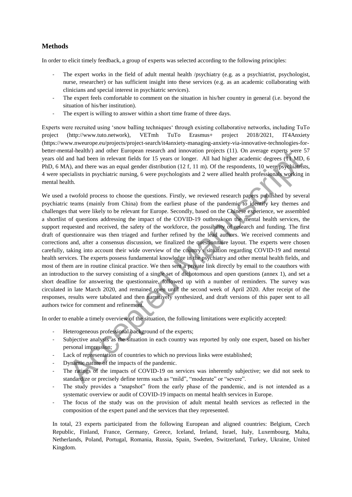### **Methods**

In order to elicit timely feedback, a group of experts was selected according to the following principles:

- The expert works in the field of adult mental health /psychiatry (e.g. as a psychiatrist, psychologist, nurse, researcher) or has sufficient insight into these services (e.g. as an academic collaborating with clinicians and special interest in psychiatric services).
- The expert feels comfortable to comment on the situation in his/her country in general (i.e. beyond the situation of his/her institution).
- The expert is willing to answer within a short time frame of three days.

Experts were recruited using 'snow balling techniques' through existing collaborative networks, including TuTo project (http://www.tuto.network), VETmh TuTo Erasmus+ project 2018/2021, IT4Anxiety (https://www.nweurope.eu/projects/project-search/it4anxiety-managing-anxiety-via-innovative-technologies-forbetter-mental-health/) and other European research and innovation projects (11). On average experts were 57 years old and had been in relevant fields for 15 years or longer. All had higher academic degrees (11 MD, 6 PhD, 6 MA), and there was an equal gender distribution (12 f, 11 m). Of the respondents, 10 were psychiatrists, 4 were specialists in psychiatric nursing, 6 were psychologists and 2 were allied health professionals working in mental health.

We used a twofold process to choose the questions. Firstly, we reviewed research papers published by several psychiatric teams (mainly from China) from the earliest phase of the pandemic to identify key themes and challenges that were likely to be relevant for Europe. Secondly, based on the Chinese experience, we assembled a shortlist of questions addressing the impact of the COVID-19 outbreak on the mental health services, the support requested and received, the safety of the workforce, the possibility of research and funding. The first draft of questionnaire was then triaged and further refined by the lead authors. We received comments and corrections and, after a consensus discussion, we finalized the questionnaire layout. The experts were chosen carefully, taking into account their wide overview of the country's situation regarding COVID-19 and mental health services. The experts possess fundamental knowledge in the psychiatry and other mental health fields, and most of them are in routine clinical practice. We then sent a private link directly by email to the coauthors with an introduction to the survey consisting of a single set of dichotomous and open questions (annex 1), and set a short deadline for answering the questionnaire, followed up with a number of reminders. The survey was circulated in late March 2020, and remained open until the second week of April 2020. After receipt of the responses, results were tabulated and then narratively synthesized, and draft versions of this paper sent to all authors twice for comment and refinement. anal-health (i) and other European research and innovation projects (11). On average experts were<br>tand had been in relevant fields for 15 years or longer. All had higher accelemic egress (H VDD), and there was an equal gen

In order to enable a timely overview of the situation, the following limitations were explicitly accepted:

- Heterogeneous professional background of the experts;
- Subjective analysis as the situation in each country was reported by only one expert, based on his/her personal impression;
- Lack of representation of countries to which no previous links were established;
- Dynamic nature of the impacts of the pandemic.
- The ratings of the impacts of COVID-19 on services was inherently subjective; we did not seek to standardize or precisely define terms such as "mild", "moderate" or "severe".
- The study provides a "snapshot" from the early phase of the pandemic, and is not intended as a systematic overview or audit of COVID-19 impacts on mental health services in Europe.
- The focus of the study was on the provision of adult mental health services as reflected in the composition of the expert panel and the services that they represented.

In total, 23 experts participated from the following European and aligned countries: Belgium, Czech Republic, Finland, France, Germany, Greece, Iceland, Ireland, Israel, Italy, Luxembourg, Malta, Netherlands, Poland, Portugal, Romania, Russia, Spain, Sweden, Switzerland, Turkey, Ukraine, United Kingdom.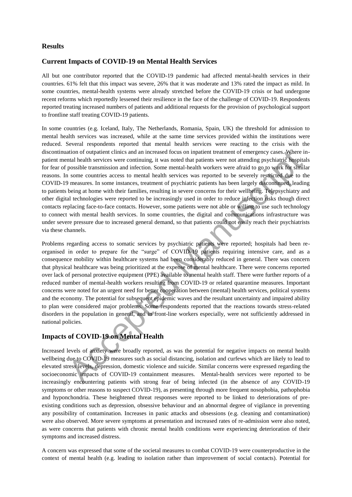#### **Results**

#### **Current Impacts of COVID-19 on Mental Health Services**

All but one contributor reported that the COVID-19 pandemic had affected mental-health services in their countries. 61% felt that this impact was severe, 26% that it was moderate and 13% rated the impact as mild. In some countries, mental-health systems were already stretched before the COVID-19 crisis or had undergone recent reforms which reportedly lessened their resilience in the face of the challenge of COVID-19. Respondents reported treating increased numbers of patients and additional requests for the provision of psychological support to frontline staff treating COVID-19 patients.

In some countries (e.g. Iceland, Italy, The Netherlands, Romania, Spain, UK) the threshold for admission to mental health services was increased, while at the same time services provided within the institutions were reduced. Several respondents reported that mental health services were reacting to the crisis with the discontinuation of outpatient clinics and an increased focus on inpatient treatment of emergency cases. Where inpatient mental health services were continuing, it was noted that patients were not attending psychiatric hospitals for fear of possible transmission and infection. Some mental-health workers were afraid to go to work for similar reasons. In some countries access to mental health services was reported to be severely restricted due to the COVID-19 measures. In some instances, treatment of psychiatric patients has been largely discontinued, leading to patients being at home with their families, resulting in severe concerns for their wellbeing. Telepsychiatry and other digital technologies were reported to be increasingly used in order to reduce infection risks though direct contacts replacing face-to-face contacts. However, some patients were not able or willing to use such technology to connect with mental health services. In some countries, the digital and communications infrastructure was under severe pressure due to increased general demand, so that patients could not easily reach their psychiatrists via these channels.

Problems regarding access to somatic services by psychiatric patients were reported; hospitals had been reorganised in order to prepare for the "surge" of COVID-19 patients requiring intensive care, and as a consequence mobility within healthcare systems had been considerably reduced in general. There was concern that physical healthcare was being prioritized at the expense of mental healthcare. There were concerns reported over lack of personal protective equipment (PPE) available to mental health staff. There were further reports of a reduced number of mental-health workers resulting from COVID-19 or related quarantine measures. Important concerns were noted for an urgent need for better cooperation between (mental) health services, political systems and the economy. The potential for subsequent epidemic waves and the resultant uncertainty and impaired ability to plan were considered major problems. Some respondents reported that the reactions towards stress-related disorders in the population in general, and in front-line workers especially, were not sufficiently addressed in national policies. ation of outpatient elities and an interested focus on inpatient treatment of emergency cases. Where<br>the possible transmission and infection. Some mental-health workers not attending psychiatric flogsing<br>possible transmiss

## **Impacts of COVID-19 on Mental Health**

Increased levels of anxiety were broadly reported, as was the potential for negative impacts on mental health wellbeing due to COVID-19 measures such as social distancing, isolation and curfews which are likely to lead to elevated stress levels, depression, domestic violence and suicide. Similar concerns were expressed regarding the socioeconomic impacts of COVID-19 containment measures. Mental-health services were reported to be increasingly encountering patients with strong fear of being infected (in the absence of any COVID-19 symptoms or other reasons to suspect COVID-19), as presenting through more frequent nosophobia, pathophobia and hyponchondria. These heightened threat responses were reported to be linked to deteriorations of preexisting conditions such as depression, obsessive behaviour and an abnormal degree of vigilance in preventing any possibility of contamination. Increases in panic attacks and obsessions (e.g. cleaning and contamination) were also observed. More severe symptoms at presentation and increased rates of re-admission were also noted, as were concerns that patients with chronic mental health conditions were experiencing deterioration of their symptoms and increased distress.

A concern was expressed that some of the societal measures to combat COVID-19 were counterproductive in the context of mental health (e.g. leading to isolation rather than improvement of social contacts). Potential for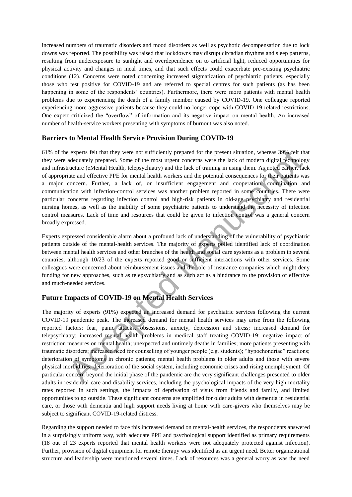increased numbers of traumatic disorders and mood disorders as well as psychotic decompensation due to lock downs was reported. The possibility was raised that lockdowns may disrupt circadian rhythms and sleep patterns, resulting from underexposure to sunlight and overdependence on to artificial light, reduced opportunities for physical activity and changes in meal times, and that such effects could exacerbate pre-existing psychiatric conditions (12). Concerns were noted concerning increased stigmatization of psychiatric patients, especially those who test positive for COVID-19 and are referred to special centres for such patients (as has been happening in some of the respondents' countries). Furthermore, there were more patients with mental health problems due to experiencing the death of a family member caused by COVID-19. One colleague reported experiencing more aggressive patients because they could no longer cope with COVID-19 related restrictions. One expert criticized the "overflow" of information and its negative impact on mental health. An increased number of health-service workers presenting with symptoms of burnout was also noted.

#### **Barriers to Mental Health Service Provision During COVID-19**

61% of the experts felt that they were not sufficiently prepared for the present situation, whereas 39% felt that they were adequately prepared. Some of the most urgent concerns were the lack of modern digital technology and infrastructure (eMental Health, telepsychiatry) and the lack of training in using them. As noted earlier, lack of appropriate and effective PPE for mental health workers and the potential consequences for their patients was a major concern. Further, a lack of, or insufficient engagement and cooperation, coordination and communication with infection-control services was another problem reported in some countries. There were particular concerns regarding infection control and high-risk patients in old-age psychiatry and residential nursing homes, as well as the inability of some psychiatric patients to understand the necessity of infection control measures. Lack of time and resources that could be given to infection control was a general concern broadly expressed. c experts felt that they were not sufficiently prepared for the present situation, whereas 39% felt decomposites are converted. Some of the most urgent concerns were the lack of modern digital technology metric and check o

Experts expressed considerable alarm about a profound lack of understanding of the vulnerability of psychiatric patients outside of the mental-health services. The majority of experts polled identified lack of coordination between mental health services and other branches of the health and social care systems as a problem in several countries, although 10/23 of the experts reported good or sufficient interactions with other services. Some colleagues were concerned about reimbursement issues and the role of insurance companies which might deny funding for new approaches, such as telepsychiatry and as such act as a hindrance to the provision of effective and much-needed services.

## **Future Impacts of COVID-19 on Mental Health Services**

The majority of experts (91%) expected an increased demand for psychiatric services following the current COVID-19 pandemic peak. The increased demand for mental health services may arise from the following reported factors: fear, panic attacks, obsessions, anxiety, depression and stress; increased demand for telepsychiatry; increased mental health problems in medical staff treating COVID-19; negative impact of restriction measures on mental health; unexpected and untimely deaths in families; more patients presenting with traumatic disorders; increased need for counselling of younger people (e.g. students); "hypochondriac" reactions; deterioration of symptoms in chronic patients; mental health problems in older adults and those with severe physical morbidities; deterioration of the social system, including economic crises and rising unemployment. Of particular concern beyond the initial phase of the pandemic are the very significant challenges presented to older adults in residential care and disability services, including the psychological impacts of the very high mortality rates reported in such settings, the impacts of deprivation of visits from friends and family, and limited opportunities to go outside. These significant concerns are amplified for older adults with dementia in residential care, or those with dementia and high support needs living at home with care-givers who themselves may be subject to significant COVID-19-related distress.

Regarding the support needed to face this increased demand on mental-health services, the respondents answered in a surprisingly uniform way, with adequate PPE and psychological support identified as primary requirements (18 out of 23 experts reported that mental health workers were not adequately protected against infection). Further, provision of digital equipment for remote therapy was identified as an urgent need. Better organizational structure and leadership were mentioned several times. Lack of resources was a general worry as was the need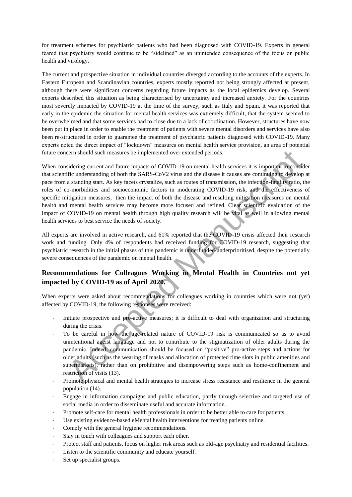for treatment schemes for psychiatric patients who had been diagnosed with COVID-19. Experts in general feared that psychiatry would continue to be "sidelined" as an unintended consequence of the focus on public health and virology.

The current and prospective situation in individual countries diverged according to the accounts of the experts. In Eastern European and Scandinavian countries, experts mostly reported not being strongly affected at present, although there were significant concerns regarding future impacts as the local epidemics develop. Several experts described this situation as being characterised by uncertainty and increased anxiety. For the countries most severely impacted by COVID-19 at the time of the survey, such as Italy and Spain, it was reported that early in the epidemic the situation for mental health services was extremely difficult, that the system seemed to be overwhelmed and that some services had to close due to a lack of coordination. However, structures have now been put in place in order to enable the treatment of patients with severe mental disorders and services have also been re-structured in order to guarantee the treatment of psychiatric patients diagnosed with COVID-19. Many experts noted the direct impact of "lockdown" measures on mental health service provision, an area of potential future concern should such measures be implemented over extended periods.

When considering current and future impacts of COVID-19 on mental health services it is important to consider that scientific understanding of both the SARS-CoV2 virus and the disease it causes are continuing to develop at pace from a standing start. As key facets crystalize, such as routes of transmission, the infection-fatality ratio, the roles of co-morbidities and socioeconomic factors in moderating COVID-19 risk, and the effectiveness of specific mitigation measures, then the impact of both the disease and resulting mitigation measures on mental health and mental health services may become more focused and refined. Clear scientific evaluation of the impact of COVID-19 on mental health through high quality research will be vital as well in allowing mental health services to best service the needs of society. cern should such measures be implemented over extended periods.<br>
sidering current and future impacts of COVID-19 on mental health services it is important to consider the considerationaling of both the SARS-COV virus and t

All experts are involved in active research, and 61% reported that the COVID-19 crisis affected their research work and funding. Only 4% of respondents had received funding for COVID-19 research, suggesting that psychiatric research in the initial phases of this pandemic is underfunded/underprioritised, despite the potentially severe consequences of the pandemic on mental health.

## **Recommendations for Colleagues Working in Mental Health in Countries not yet impacted by COVID-19 as of April 2020.**

When experts were asked about recommendations for colleagues working in countries which were not (yet) affected by COVID-19, the following responses were received:

- Initiate prospective and pro-active measures; it is difficult to deal with organization and structuring during the crisis.
- To be careful in how the age-related nature of COVID-19 risk is communicated so as to avoid unintentional ageist language and not to contribute to the stigmatization of older adults during the pandemic. Indeed, communication should be focused on "positive" pro-active steps and actions for older adults (such as the wearing of masks and allocation of protected time slots in public amenities and supermarkets), rather than on prohibitive and disempowering steps such as home-confinement and restriction of visits (13).
- Promote physical and mental health strategies to increase stress resistance and resilience in the general population (14).
- Engage in information campaigns and public education, partly through selective and targeted use of social media in order to disseminate useful and accurate information.
- Promote self-care for mental health professionals in order to be better able to care for patients.
- Use existing evidence-based eMental health interventions for treating patients online.
- Comply with the general hygiene recommendations.
- Stay in touch with colleagues and support each other.
- Protect staff and patients, focus on higher risk areas such as old-age psychiatry and residential facilities.
- Listen to the scientific community and educate yourself.
- Set up specialist groups.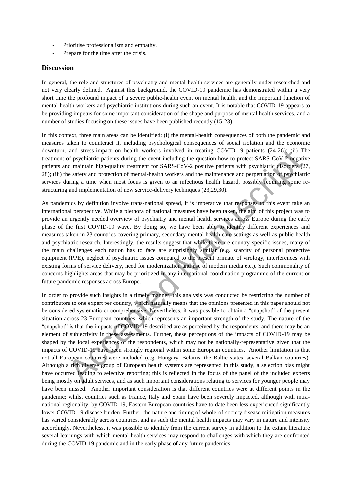- Prioritise professionalism and empathy.
- Prepare for the time after the crisis.

#### **Discussion**

In general, the role and structures of psychiatry and mental-health services are generally under-researched and not very clearly defined. Against this background, the COVID-19 pandemic has demonstrated within a very short time the profound impact of a severe public-health event on mental health, and the important function of mental-health workers and psychiatric institutions during such an event. It is notable that COVID-19 appears to be providing impetus for some important consideration of the shape and purpose of mental health services, and a number of studies focusing on these issues have been published recently (15-23).

In this context, three main areas can be identified: (i) the mental-health consequences of both the pandemic and measures taken to counteract it, including psychological consequences of social isolation and the economic downturn, and stress-impact on health workers involved in treating COVID-19 patients (24-26); (ii) The treatment of psychiatric patients during the event including the question how to protect SARS-CoV-2 negative patients and maintain high-quality treatment for SARS-CoV-2 positive patients with psychiatric disorders (27, 28); (iii) the safety and protection of mental-health workers and the maintenance and perpetuation of psychiatric services during a time when most focus is given to an infectious health hazard, possibly requiring some restructuring and implementation of new service-delivery techniques (23,29,30).

As pandemics by definition involve trans-national spread, it is imperative that responses to this event take an international perspective. While a plethora of national measures have been taken, the aim of this project was to provide an urgently needed overview of psychiatry and mental health services across Europe during the early phase of the first COVID-19 wave. By doing so, we have been able to identify different experiences and measures taken in 23 countries covering primary, secondary mental health care settings as well as public health and psychiatric research. Interestingly, the results suggest that while there are country-specific issues, many of the main challenges each nation has to face are surprisingly similar (e.g. scarcity of personal protective equipment (PPE), neglect of psychiatric issues compared to the present primate of virology, interferences with existing forms of service delivery, need for modernization and use of modern media etc.). Such commonality of concerns highlights areas that may be prioritized in any international coordination programme of the current or future pandemic responses across Europe.

In order to provide such insights in a timely manner, this analysis was conducted by restricting the number of contributors to one expert per country, which naturally means that the opinions presented in this paper should not be considered systematic or comprehensive. Nevertheless, it was possible to obtain a "snapshot" of the present situation across 23 European countries, which represents an important strength of the study. The nature of the "snapshot" is that the impacts of COVID-19 described are as perceived by the respondents, and there may be an element of subjectivity in these assessments. Further, these perceptions of the impacts of COVID-19 may be shaped by the local experiences of the respondents, which may not be nationally-representative given that the impacts of COVID-19 have been strongly regional within some European countries. Another limitation is that not all European countries were included (e.g. Hungary, Belarus, the Baltic states, several Balkan countries). Although a rich diverse group of European health systems are represented in this study, a selection bias might have occurred leading to selective reporting; this is reflected in the focus of the panel of the included experts being mostly on adult services, and as such important considerations relating to services for younger people may have been missed. Another important consideration is that different countries were at different points in the pandemic; whilst countries such as France, Italy and Spain have been severely impacted, although with intranational regionality, by COVID-19, Eastern European countries have to date been less experienced significantly lower COVID-19 disease burden. Further, the nature and timing of whole-of-society disease mitigation measures has varied considerably across countries, and as such the mental health impacts may vary in nature and intensity accordingly. Nevertheless, it was possible to identify from the current survey in addition to the extant literature several learnings with which mental health services may respond to challenges with which they are confronted during the COVID-19 pandemic and in the early phase of any future pandemics: and stress-impact on health workers involved in reating COVID-19 patients (24-26); (ii) The accepted manuscript (24-26); (ii) The accepted manuscript of the patient starting the parent of the patient starting a time when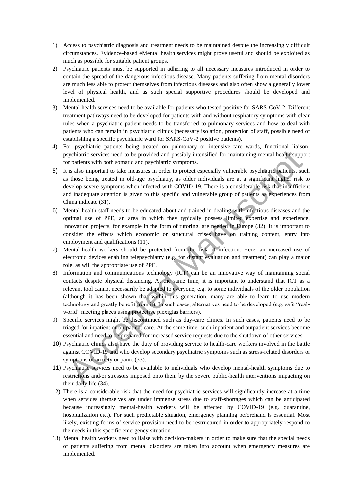- 1) Access to psychiatric diagnosis and treatment needs to be maintained despite the increasingly difficult circumstances. Evidence-based eMental health services might prove useful and should be exploited as much as possible for suitable patient groups.
- 2) Psychiatric patients must be supported in adhering to all necessary measures introduced in order to contain the spread of the dangerous infectious disease. Many patients suffering from mental disorders are much less able to protect themselves from infectious diseases and also often show a generally lower level of physical health, and as such special supportive procedures should be developed and implemented.
- 3) Mental health services need to be available for patients who tested positive for SARS-CoV-2. Different treatment pathways need to be developed for patients with and without respiratory symptoms with clear rules when a psychiatric patient needs to be transferred to pulmonary services and how to deal with patients who can remain in psychiatric clinics (necessary isolation, protection of staff, possible need of establishing a specific psychiatric ward for SARS-CoV-2 positive patients).
- 4) For psychiatric patients being treated on pulmonary or intensive-care wards, functional liaisonpsychiatric services need to be provided and possibly intensified for maintaining mental health support for patients with both somatic and psychiatric symptoms.
- 5) It is also important to take measures in order to protect especially vulnerable psychiatric patients, such as those being treated in old-age psychiatry, as older individuals are at a significant higher risk to develop severe symptoms when infected with COVID-19. There is a considerable risk that insufficient and inadequate attention is given to this specific and vulnerable group of patients as experiences from China indicate (31).
- 6) Mental health staff needs to be educated about and trained in dealing with infectious diseases and the optimal use of PPE, an area in which they typically possess limited expertise and experience. Innovation projects, for example in the form of tutoring, are needed in Europe (32). It is important to consider the effects which economic or structural crises have on training content, entry into employment and qualifications (11).
- 7) Mental-health workers should be protected from the risk of infection. Here, an increased use of electronic devices enabling telepsychiatry (e.g. for distant evaluation and treatment) can play a major role, as will the appropriate use of PPE.
- 8) Information and communications technology (ICT) can be an innovative way of maintaining social contacts despite physical distancing. At the same time, it is important to understand that ICT as a relevant tool cannot necessarily be adapted to everyone, e.g. to some individuals of the older population (although it has been shown that within this generation, many are able to learn to use modern technology and greatly benefit from it). In such cases, alternatives need to be developed (e.g. safe "realworld" meeting places using protective plexiglas barriers). sychiatric services need to be provided and possibly intensifed for maintaining mental health-support practical sychiatric symphons.<br>
Y practical visible both somatic and psychiatric symphons.<br>
Y is also important to take
- 9) Specific services might be discontinued such as day-care clinics. In such cases, patients need to be triaged for inpatient or outpatient care. At the same time, such inpatient and outpatient services become essential and need to be prepared for increased service requests due to the shutdown of other services.
- 10) Psychiatric clinics also have the duty of providing service to health-care workers involved in the battle against COVID-19 and who develop secondary psychiatric symptoms such as stress-related disorders or symptoms of anxiety or panic (33).
- 11) Psychiatric services need to be available to individuals who develop mental-health symptoms due to restrictions and/or stressors imposed onto them by the severe public-health interventions impacting on their daily life (34).
- 12) There is a considerable risk that the need for psychiatric services will significantly increase at a time when services themselves are under immense stress due to staff-shortages which can be anticipated because increasingly mental-health workers will be affected by COVID-19 (e.g. quarantine, hospitalization etc.). For such predictable situation, emergency planning beforehand is essential. Most likely, existing forms of service provision need to be restructured in order to appropriately respond to the needs in this specific emergency situation.
- 13) Mental health workers need to liaise with decision-makers in order to make sure that the special needs of patients suffering from mental disorders are taken into account when emergency measures are implemented.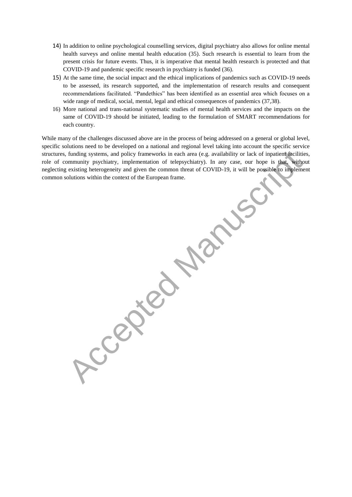- 14) In addition to online psychological counselling services, digital psychiatry also allows for online mental health surveys and online mental health education (35). Such research is essential to learn from the present crisis for future events. Thus, it is imperative that mental health research is protected and that COVID-19 and pandemic specific research in psychiatry is funded (36).
- 15) At the same time, the social impact and the ethical implications of pandemics such as COVID-19 needs to be assessed, its research supported, and the implementation of research results and consequent recommendations facilitated. "Pandethics" has been identified as an essential area which focuses on a wide range of medical, social, mental, legal and ethical consequences of pandemics (37,38).
- 16) More national and trans-national systematic studies of mental health services and the impacts on the same of COVID-19 should be initiated, leading to the formulation of SMART recommendations for each country.

While many of the challenges discussed above are in the process of being addressed on a general or global level, specific solutions need to be developed on a national and regional level taking into account the specific service structures, funding systems, and policy frameworks in each area (e.g. availability or lack of inpatient facilities, role of community psychiatry, implementation of telepsychiatry). In any case, our hope is that, without neglecting existing heterogeneity and given the common threat of COVID-19, it will be possible to implement common solutions within the context of the European frame.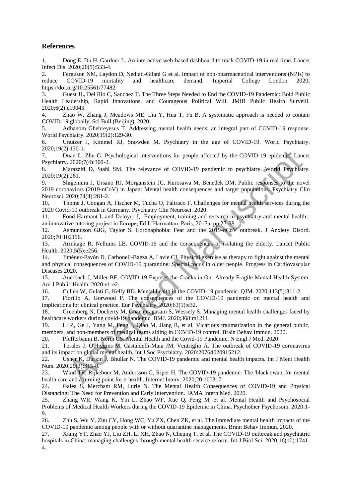#### **References**

1. Dong E, Du H, Gardner L. An interactive web-based dashboard to track COVID-19 in real time. Lancet Infect Dis. 2020;20(5):533-4.

2. Ferguson NM, Laydon D, Nedjati-Gilani G et al. Impact of non-pharmaceutical interventions (NPIs) to reduce COVID-19 mortality and healthcare demand. Imperial College London 2020; https://doi.org/10.25561/77482.

3. Guest JL, Del Rio C, Sanchez T. The Three Steps Needed to End the COVID-19 Pandemic: Bold Public Health Leadership, Rapid Innovations, and Courageous Political Will. JMIR Public Health Surveill. 2020:6(2):e19043.

4. Zhao W, Zhang J, Meadows ME, Liu Y, Hua T, Fu B. A systematic approach is needed to contain COVID-19 globally. Sci Bull (Beijing). 2020.

5. Adhanom Ghebreyesus T. Addressing mental health needs: an integral part of COVID-19 response. World Psychiatry. 2020;19(2):129-30.

6. Unutzer J, Kimmel RJ, Snowden M. Psychiatry in the age of COVID-19. World Psychiatry. 2020;19(2):130-1.

7. Duan L, Zhu G. Psychological interventions for people affected by the COVID-19 epidemic. Lancet Psychiatry. 2020;7(4):300-2.

8. Marazziti D, Stahl SM. The relevance of COVID-19 pandemic to psychiatry. World Psychiatry. 2020;19(2):261.

9. Shigemura J, Ursano RJ, Morganstein JC, Kurosawa M, Benedek DM. Public responses to the novel 2019 coronavirus (2019-nCoV) in Japan: Mental health consequences and target populations. Psychiatry Clin Neurosci. 2020;74(4):281-2. 1.100-1.<br>
2.1100-1.<br>
2.2100-1.<br>
2.22007/d1:330-2.<br>
2.2007/d1:330-2.<br>
2.2007/d1:330-2.<br>
2.2007/d1:330-2.<br>
2.2007/d1:330-2.<br>
2.001/d1:300-2.<br>
2.001-1.9 pandemic to psychiatry. Working Paramaria 1, Ursano RJ, Morganstein I.C

10. Thome J, Coogan A, Fischer M, Tucha O, Faltraco F. Challenges for mental health services during the 2020 Covid-19 outbreak in Germany. Psychiatry Clin Neurosci. 2020.

11. Fond-Harmant L and Deloyer J, Employment, training and research in psychiatry and mental health : an innovative tutoring project in Europe, Ed L'Harmattan, Paris, 2017a, pp 27-38.

12. Asmundson GJG, Taylor S. Coronaphobia: Fear and the 2019-nCoV outbreak. J Anxiety Disord. 2020;70:102196.

13. Armitage R, Nellums LB. COVID-19 and the consequences of isolating the elderly. Lancet Public Health. 2020;5(5):e256.

14. Jiménez-Pavón D, Carbonell-Baeza A, Lavie CJ. Physical exercise as therapy to fight against the mental and physical consequences of COVID-19 quarantine: Special focus in older people. Progress in Cardiovascular Diseases 2020.

15. Auerbach J, Miller BF. COVID-19 Exposes the Cracks in Our Already Fragile Mental Health System. Am J Public Health. 2020:e1-e2.

16. Cullen W, Gulati G, Kelly BD. Mental health in the COVID-19 pandemic. QJM. 2020;113(5):311-2.

17. Fiorillo A, Gorwood P. The consequences of the COVID-19 pandemic on mental health and implications for clinical practice. Eur Psychiatry. 2020;63(1):e32.

18. Greenberg N, Docherty M, Gnanapragasam S, Wessely S. Managing mental health challenges faced by healthcare workers during covid-19 pandemic. BMJ. 2020;368:m1211.

19. Li Z, Ge J, Yang M, Feng J, Qiao M, Jiang R, et al. Vicarious traumatization in the general public, members, and non-members of medical teams aiding in COVID-19 control. Brain Behav Immun. 2020.

20. Pfefferbaum B, North CS. Mental Health and the Covid-19 Pandemic. N Engl J Med. 2020.

21. Torales J, O'Higgins M, Castaldelli-Maia JM, Ventriglio A. The outbreak of COVID-19 coronavirus and its impact on global mental health. Int J Soc Psychiatry. 2020:20764020915212.

22. Usher K, Durkin J, Bhullar N. The COVID-19 pandemic and mental health impacts. Int J Ment Health Nurs. 2020;29(3):315-8.

23. Wind TR, Rijkeboer M, Andersson G, Riper H. The COVID-19 pandemic: The 'black swan' for mental health care and a turning point for e-health. Internet Interv. 2020;20:100317.

24. Galea S, Merchant RM, Lurie N. The Mental Health Consequences of COVID-19 and Physical Distancing: The Need for Prevention and Early Intervention. JAMA Intern Med. 2020.

25. Zhang WR, Wang K, Yin L, Zhao WF, Xue Q, Peng M, et al. Mental Health and Psychosocial Problems of Medical Health Workers during the COVID-19 Epidemic in China. Psychother Psychosom. 2020:1- 9.

26. Zhu S, Wu Y, Zhu CY, Hong WC, Yu ZX, Chen ZK, et al. The immediate mental health impacts of the COVID-19 pandemic among people with or without quarantine managements. Brain Behav Immun. 2020.

27. Xiang YT, Zhao YJ, Liu ZH, Li XH, Zhao N, Cheung T, et al. The COVID-19 outbreak and psychiatric hospitals in China: managing challenges through mental health service reform. Int J Biol Sci. 2020;16(10):1741- 4.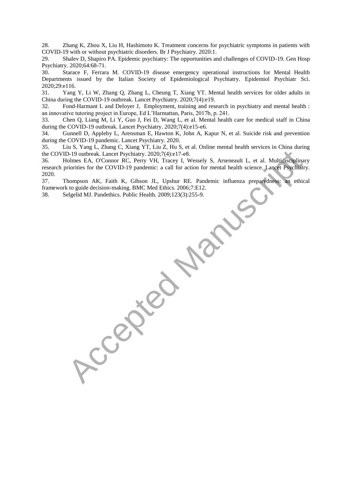28. Zhang K, Zhou X, Liu H, Hashimoto K. Treatment concerns for psychiatric symptoms in patients with COVID-19 with or without psychiatric disorders. Br J Psychiatry. 2020:1.

29. Shalev D, Shapiro PA. Epidemic psychiatry: The opportunities and challenges of COVID-19. Gen Hosp Psychiatry. 2020;64:68-71.

30. Starace F, Ferrara M. COVID-19 disease emergency operational instructions for Mental Health Departments issued by the Italian Society of Epidemiological Psychiatry. Epidemiol Psychiatr Sci. 2020;29:e116.

31. Yang Y, Li W, Zhang Q, Zhang L, Cheung T, Xiang YT. Mental health services for older adults in China during the COVID-19 outbreak. Lancet Psychiatry. 2020;7(4):e19.

32. Fond-Harmant L and Deloyer J, Employment, training and research in psychiatry and mental health : an innovative tutoring project in Europe, Ed L'Harmattan, Paris, 2017b, p. 241.

33. Chen Q, Liang M, Li Y, Guo J, Fei D, Wang L, et al. Mental health care for medical staff in China during the COVID-19 outbreak. Lancet Psychiatry. 2020;7(4):e15-e6.

34. Gunnell D, Appleby L, Arensman E, Hawton K, John A, Kapur N, et al. Suicide risk and prevention during the COVID-19 pandemic. Lancet Psychiatry. 2020.

35. Liu S, Yang L, Zhang C, Xiang YT, Liu Z, Hu S, et al. Online mental health services in China during the COVID-19 outbreak. Lancet Psychiatry. 2020;7(4):e17-e8.

36. Holmes EA, O'Connor RC, Perry VH, Tracey I, Wessely S, Arseneault L, et al. Multidisciplinary research priorities for the COVID-19 pandemic: a call for action for mental health science. Lancet Psychiatry. 2020.

37. Thompson AK, Faith K, Gibson JL, Upshur RE. Pandemic influenza preparedness: an ethical framework to guide decision-making. BMC Med Ethics. 2006;7:E12.<br>38. Selgelid MJ. Pandethics. Public Health. 2009;123(3):255-9. framework to guide decision-making. BMC Med Ethics. 2006;7:E12.

38. Selgelid MJ. Pandethics. Public Health. 2009;123(3):255-9.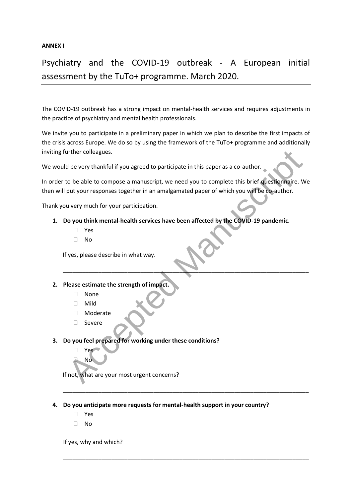#### **ANNEX I**

## Psychiatry and the COVID-19 outbreak - A European initial assessment by the TuTo+ programme. March 2020.

The COVID-19 outbreak has a strong impact on mental-health services and requires adjustments in the practice of psychiatry and mental health professionals.

We invite you to participate in a preliminary paper in which we plan to describe the first impacts of the crisis across Europe. We do so by using the framework of the TuTo+ programme and additionally inviting further colleagues.

We would be very thankful if you agreed to participate in this paper as a co-author.

In order to be able to compose a manuscript, we need you to complete this brief questionnaire. We then will put your responses together in an amalgamated paper of which you will be co-author. When colleagues.<br>
Accept thankful if you agreed to participate in this paper as a co-author.<br>
Accept the abe to compose a manuscript, we need you to complete this brief dues therefore intervent of the composes together in

Thank you very much for your participation.

**1. Do you think mental-health services have been affected by the COVID-19 pandemic.**

\_\_\_\_\_\_\_\_\_\_\_\_\_\_\_\_\_\_\_\_\_\_\_\_\_\_\_\_\_\_\_\_\_\_\_\_\_\_\_\_\_\_\_\_\_\_\_\_\_\_\_\_\_\_\_\_\_\_\_\_\_\_\_\_\_\_\_\_\_\_\_\_\_\_\_\_

\_\_\_\_\_\_\_\_\_\_\_\_\_\_\_\_\_\_\_\_\_\_\_\_\_\_\_\_\_\_\_\_\_\_\_\_\_\_\_\_\_\_\_\_\_\_\_\_\_\_\_\_\_\_\_\_\_\_\_\_\_\_\_\_\_\_\_\_\_\_\_\_\_\_\_\_

\_\_\_\_\_\_\_\_\_\_\_\_\_\_\_\_\_\_\_\_\_\_\_\_\_\_\_\_\_\_\_\_\_\_\_\_\_\_\_\_\_\_\_\_\_\_\_\_\_\_\_\_\_\_\_\_\_\_\_\_\_\_\_\_\_\_\_\_\_\_\_\_\_\_\_\_

- Yes
- $\neg$  No

If yes, please describe in what way.

#### **2. Please estimate the strength of impact.**

- None
- Mild
- Moderate
- □ Severe
- **3. Do you feel prepared for working under these conditions?**

 Yes No

If not, what are your most urgent concerns?

- **4. Do you anticipate more requests for mental-health support in your country?**
	- Yes
	- $\Box$  No

If yes, why and which?